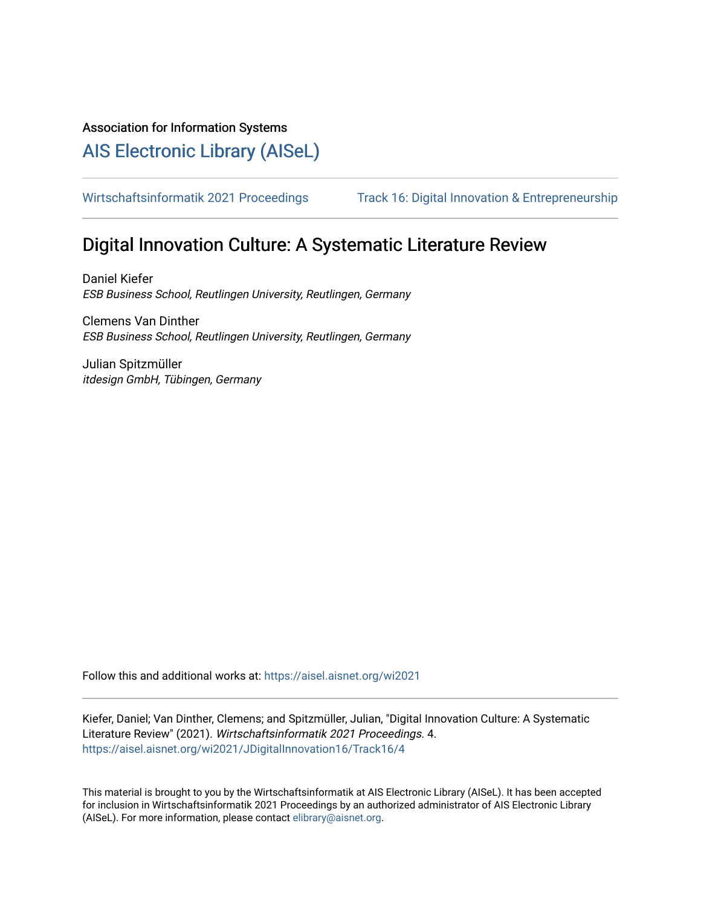Association for Information Systems

# [AIS Electronic Library \(AISeL\)](https://aisel.aisnet.org/)

[Wirtschaftsinformatik 2021 Proceedings](https://aisel.aisnet.org/wi2021) Track 16: Digital Innovation & Entrepreneurship

# Digital Innovation Culture: A Systematic Literature Review

Daniel Kiefer ESB Business School, Reutlingen University, Reutlingen, Germany

Clemens Van Dinther ESB Business School, Reutlingen University, Reutlingen, Germany

Julian Spitzmüller itdesign GmbH, Tübingen, Germany

Follow this and additional works at: [https://aisel.aisnet.org/wi2021](https://aisel.aisnet.org/wi2021?utm_source=aisel.aisnet.org%2Fwi2021%2FJDigitalInnovation16%2FTrack16%2F4&utm_medium=PDF&utm_campaign=PDFCoverPages) 

Kiefer, Daniel; Van Dinther, Clemens; and Spitzmüller, Julian, "Digital Innovation Culture: A Systematic Literature Review" (2021). Wirtschaftsinformatik 2021 Proceedings. 4. [https://aisel.aisnet.org/wi2021/JDigitalInnovation16/Track16/4](https://aisel.aisnet.org/wi2021/JDigitalInnovation16/Track16/4?utm_source=aisel.aisnet.org%2Fwi2021%2FJDigitalInnovation16%2FTrack16%2F4&utm_medium=PDF&utm_campaign=PDFCoverPages) 

This material is brought to you by the Wirtschaftsinformatik at AIS Electronic Library (AISeL). It has been accepted for inclusion in Wirtschaftsinformatik 2021 Proceedings by an authorized administrator of AIS Electronic Library (AISeL). For more information, please contact [elibrary@aisnet.org](mailto:elibrary@aisnet.org%3E).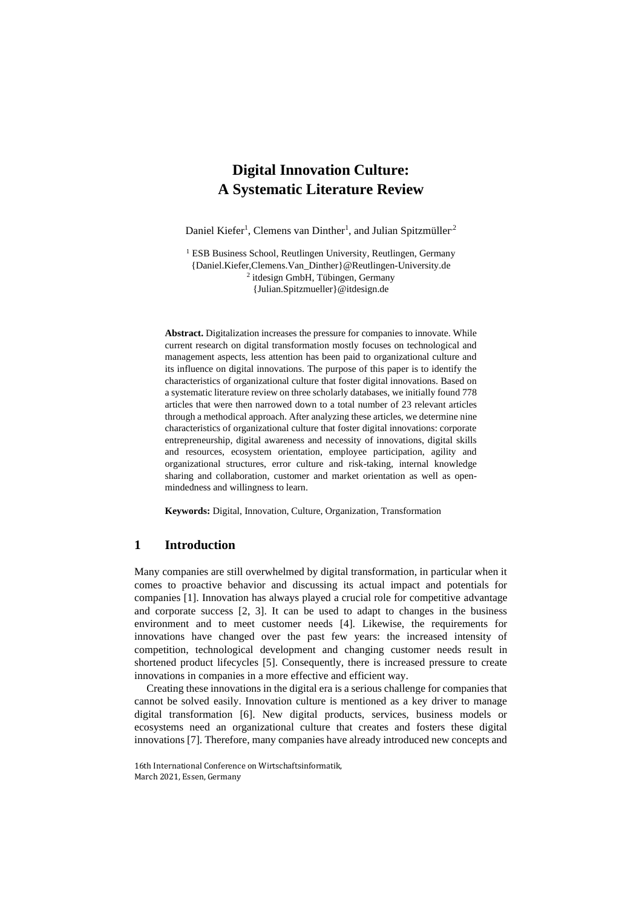# **Digital Innovation Culture: A Systematic Literature Review**

Daniel Kiefer<sup>1</sup>, Clemens van Dinther<sup>1</sup>, and Julian Spitzmüller<sup>,2</sup>

<sup>1</sup> ESB Business School, Reutlingen University, Reutlingen, Germany {Daniel.Kiefer,Clemens.Van\_Dinther}@Reutlingen-University.de 2 itdesign GmbH, Tübingen, Germany {Julian.Spitzmueller}@itdesign.de

**Abstract.** Digitalization increases the pressure for companies to innovate. While current research on digital transformation mostly focuses on technological and management aspects, less attention has been paid to organizational culture and its influence on digital innovations. The purpose of this paper is to identify the characteristics of organizational culture that foster digital innovations. Based on a systematic literature review on three scholarly databases, we initially found 778 articles that were then narrowed down to a total number of 23 relevant articles through a methodical approach. After analyzing these articles, we determine nine characteristics of organizational culture that foster digital innovations: corporate entrepreneurship, digital awareness and necessity of innovations, digital skills and resources, ecosystem orientation, employee participation, agility and organizational structures, error culture and risk-taking, internal knowledge sharing and collaboration, customer and market orientation as well as openmindedness and willingness to learn.

**Keywords:** Digital, Innovation, Culture, Organization, Transformation

## **1 Introduction**

Many companies are still overwhelmed by digital transformation, in particular when it comes to proactive behavior and discussing its actual impact and potentials for companies [1]. Innovation has always played a crucial role for competitive advantage and corporate success [2, 3]. It can be used to adapt to changes in the business environment and to meet customer needs [4]. Likewise, the requirements for innovations have changed over the past few years: the increased intensity of competition, technological development and changing customer needs result in shortened product lifecycles [5]. Consequently, there is increased pressure to create innovations in companies in a more effective and efficient way.

Creating these innovations in the digital era is a serious challenge for companies that cannot be solved easily. Innovation culture is mentioned as a key driver to manage digital transformation [6]. New digital products, services, business models or ecosystems need an organizational culture that creates and fosters these digital innovations [7]. Therefore, many companies have already introduced new concepts and

<sup>16</sup>th International Conference on Wirtschaftsinformatik, March 2021, Essen, Germany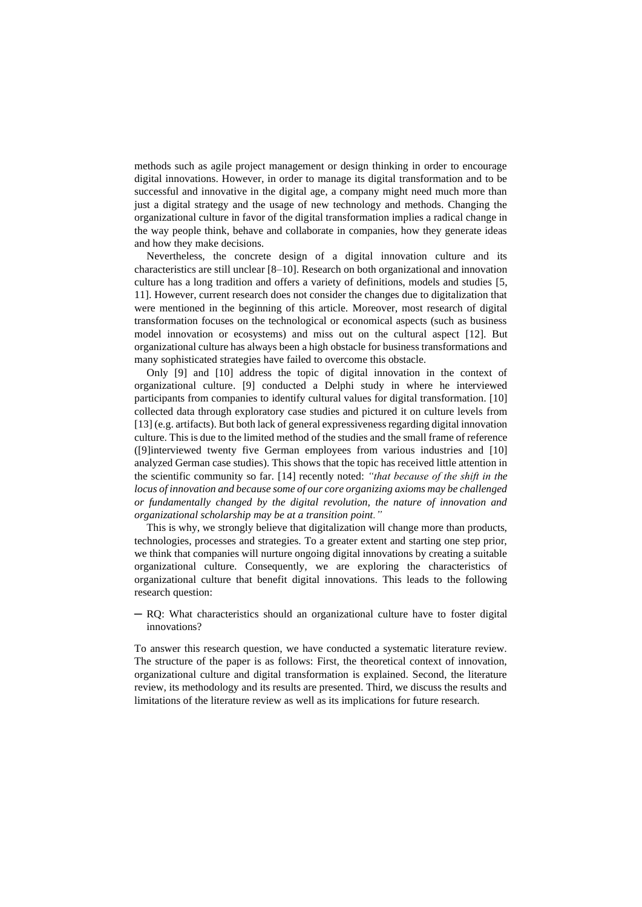methods such as agile project management or design thinking in order to encourage digital innovations. However, in order to manage its digital transformation and to be successful and innovative in the digital age, a company might need much more than just a digital strategy and the usage of new technology and methods. Changing the organizational culture in favor of the digital transformation implies a radical change in the way people think, behave and collaborate in companies, how they generate ideas and how they make decisions.

Nevertheless, the concrete design of a digital innovation culture and its characteristics are still unclear [8–10]. Research on both organizational and innovation culture has a long tradition and offers a variety of definitions, models and studies [5, 11]. However, current research does not consider the changes due to digitalization that were mentioned in the beginning of this article. Moreover, most research of digital transformation focuses on the technological or economical aspects (such as business model innovation or ecosystems) and miss out on the cultural aspect [12]. But organizational culture has always been a high obstacle for business transformations and many sophisticated strategies have failed to overcome this obstacle.

Only [9] and [10] address the topic of digital innovation in the context of organizational culture. [9] conducted a Delphi study in where he interviewed participants from companies to identify cultural values for digital transformation. [10] collected data through exploratory case studies and pictured it on culture levels from [13] (e.g. artifacts). But both lack of general expressiveness regarding digital innovation culture. This is due to the limited method of the studies and the small frame of reference ([9]interviewed twenty five German employees from various industries and [10] analyzed German case studies). This shows that the topic has received little attention in the scientific community so far. [14] recently noted: *"that because of the shift in the locus of innovation and because some of our core organizing axioms may be challenged or fundamentally changed by the digital revolution, the nature of innovation and organizational scholarship may be at a transition point."*

This is why, we strongly believe that digitalization will change more than products, technologies, processes and strategies. To a greater extent and starting one step prior, we think that companies will nurture ongoing digital innovations by creating a suitable organizational culture. Consequently, we are exploring the characteristics of organizational culture that benefit digital innovations. This leads to the following research question:

─ RQ: What characteristics should an organizational culture have to foster digital innovations?

To answer this research question, we have conducted a systematic literature review. The structure of the paper is as follows: First, the theoretical context of innovation, organizational culture and digital transformation is explained. Second, the literature review, its methodology and its results are presented. Third, we discuss the results and limitations of the literature review as well as its implications for future research.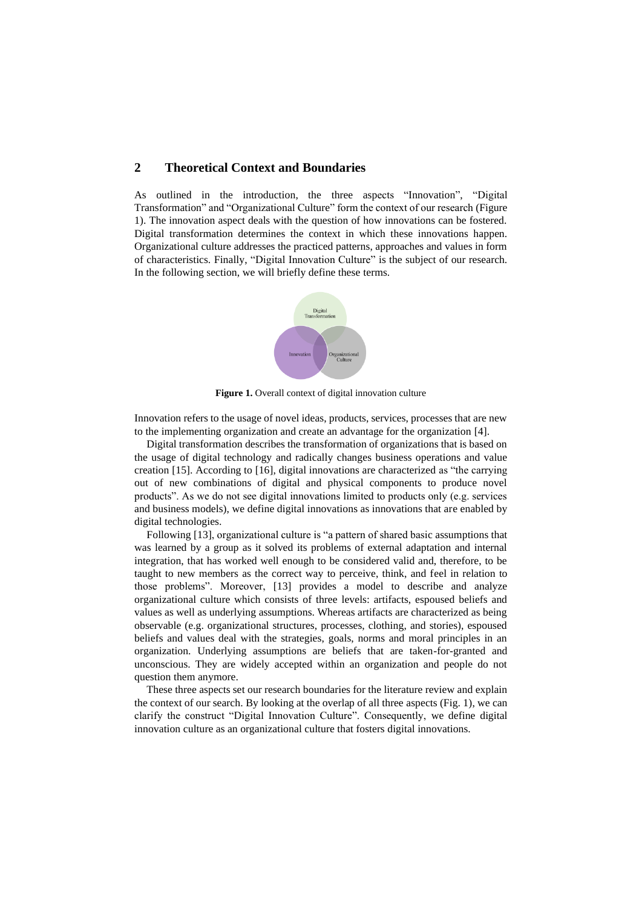## **2 Theoretical Context and Boundaries**

As outlined in the introduction, the three aspects "Innovation", "Digital Transformation" and "Organizational Culture" form the context of our research (Figure 1). The innovation aspect deals with the question of how innovations can be fostered. Digital transformation determines the context in which these innovations happen. Organizational culture addresses the practiced patterns, approaches and values in form of characteristics. Finally, "Digital Innovation Culture" is the subject of our research. In the following section, we will briefly define these terms.



Figure 1. Overall context of digital innovation culture

Innovation refers to the usage of novel ideas, products, services, processes that are new to the implementing organization and create an advantage for the organization [4].

Digital transformation describes the transformation of organizations that is based on the usage of digital technology and radically changes business operations and value creation [15]. According to [16], digital innovations are characterized as "the carrying out of new combinations of digital and physical components to produce novel products". As we do not see digital innovations limited to products only (e.g. services and business models), we define digital innovations as innovations that are enabled by digital technologies.

Following [13], organizational culture is "a pattern of shared basic assumptions that was learned by a group as it solved its problems of external adaptation and internal integration, that has worked well enough to be considered valid and, therefore, to be taught to new members as the correct way to perceive, think, and feel in relation to those problems". Moreover, [13] provides a model to describe and analyze organizational culture which consists of three levels: artifacts, espoused beliefs and values as well as underlying assumptions. Whereas artifacts are characterized as being observable (e.g. organizational structures, processes, clothing, and stories), espoused beliefs and values deal with the strategies, goals, norms and moral principles in an organization. Underlying assumptions are beliefs that are taken-for-granted and unconscious. They are widely accepted within an organization and people do not question them anymore.

These three aspects set our research boundaries for the literature review and explain the context of our search. By looking at the overlap of all three aspects (Fig. 1), we can clarify the construct "Digital Innovation Culture". Consequently, we define digital innovation culture as an organizational culture that fosters digital innovations.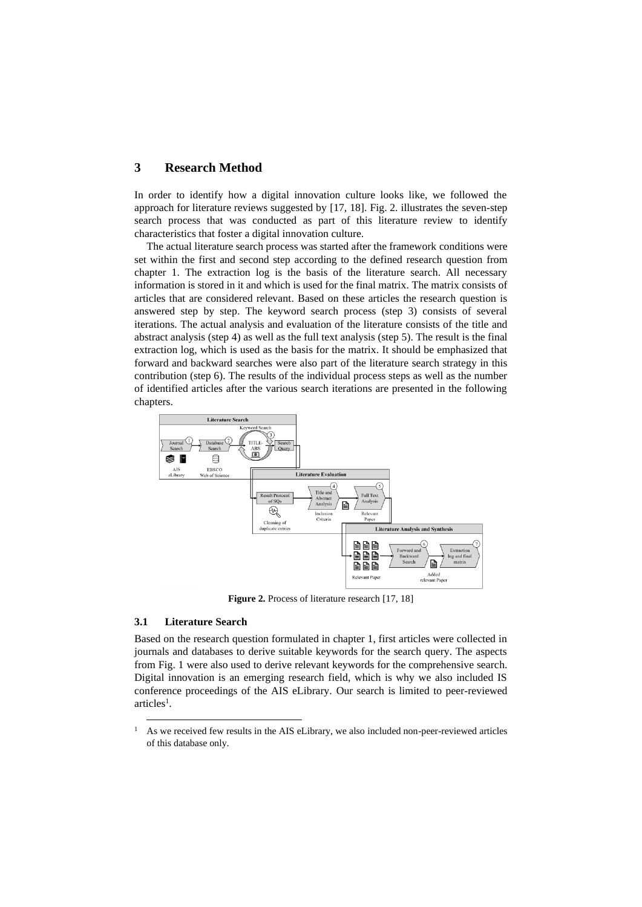# **3 Research Method**

In order to identify how a digital innovation culture looks like, we followed the approach for literature reviews suggested by [17, 18]. Fig. 2. illustrates the seven-step search process that was conducted as part of this literature review to identify characteristics that foster a digital innovation culture.

The actual literature search process was started after the framework conditions were set within the first and second step according to the defined research question from chapter 1. The extraction log is the basis of the literature search. All necessary information is stored in it and which is used for the final matrix. The matrix consists of articles that are considered relevant. Based on these articles the research question is answered step by step. The keyword search process (step 3) consists of several iterations. The actual analysis and evaluation of the literature consists of the title and abstract analysis (step 4) as well as the full text analysis (step 5). The result is the final extraction log, which is used as the basis for the matrix. It should be emphasized that forward and backward searches were also part of the literature search strategy in this contribution (step 6). The results of the individual process steps as well as the number of identified articles after the various search iterations are presented in the following chapters.



**Figure 2.** Process of literature research [17, 18]

### **3.1 Literature Search**

Based on the research question formulated in chapter 1, first articles were collected in journals and databases to derive suitable keywords for the search query. The aspects from Fig. 1 were also used to derive relevant keywords for the comprehensive search. Digital innovation is an emerging research field, which is why we also included IS conference proceedings of the AIS eLibrary. Our search is limited to peer-reviewed articles<sup>1</sup>.

 $1$  As we received few results in the AIS eLibrary, we also included non-peer-reviewed articles of this database only.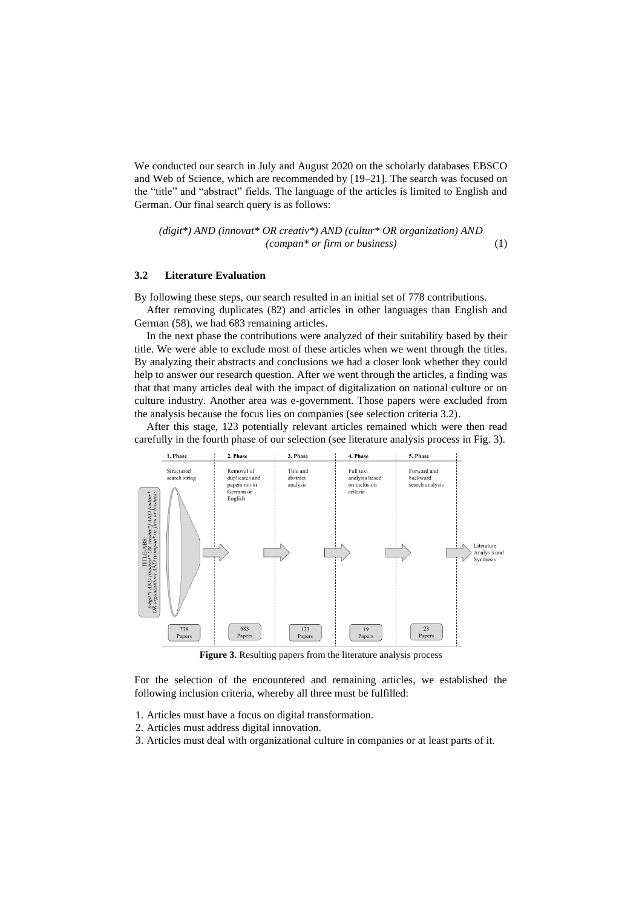We conducted our search in July and August 2020 on the scholarly databases EBSCO and Web of Science, which are recommended by [19–21]. The search was focused on the "title" and "abstract" fields. The language of the articles is limited to English and German. Our final search query is as follows:

*(digit\*) AND (innovat\* OR creativ\*) AND (cultur\* OR organization) AND (compan\* or firm or business)* (1)

## **3.2 Literature Evaluation**

By following these steps, our search resulted in an initial set of 778 contributions.

After removing duplicates (82) and articles in other languages than English and German (58), we had 683 remaining articles.

In the next phase the contributions were analyzed of their suitability based by their title. We were able to exclude most of these articles when we went through the titles. By analyzing their abstracts and conclusions we had a closer look whether they could help to answer our research question. After we went through the articles, a finding was that that many articles deal with the impact of digitalization on national culture or on culture industry. Another area was e-government. Those papers were excluded from the analysis because the focus lies on companies (see selection criteria 3.2).

After this stage, 123 potentially relevant articles remained which were then read carefully in the fourth phase of our selection (see literature analysis process in Fig. 3).



**Figure 3.** Resulting papers from the literature analysis process

For the selection of the encountered and remaining articles, we established the following inclusion criteria, whereby all three must be fulfilled:

- 1. Articles must have a focus on digital transformation.
- 2. Articles must address digital innovation.
- 3. Articles must deal with organizational culture in companies or at least parts of it.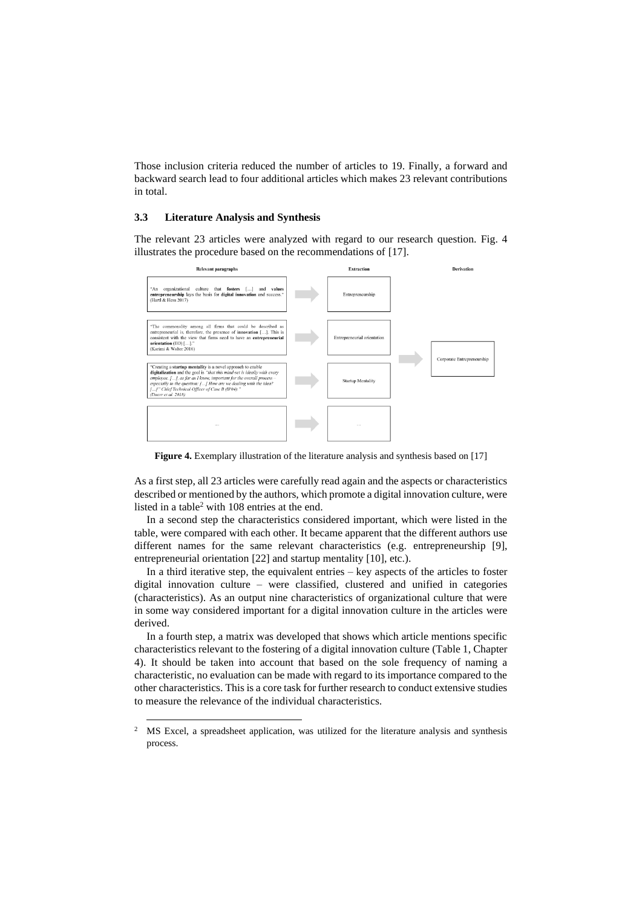Those inclusion criteria reduced the number of articles to 19. Finally, a forward and backward search lead to four additional articles which makes 23 relevant contributions in total.

### **3.3 Literature Analysis and Synthesis**

The relevant 23 articles were analyzed with regard to our research question. Fig. 4 illustrates the procedure based on the recommendations of [17].



**Figure 4.** Exemplary illustration of the literature analysis and synthesis based on [17]

As a first step, all 23 articles were carefully read again and the aspects or characteristics described or mentioned by the authors, which promote a digital innovation culture, were listed in a table<sup>2</sup> with 108 entries at the end.

In a second step the characteristics considered important, which were listed in the table, were compared with each other. It became apparent that the different authors use different names for the same relevant characteristics (e.g. entrepreneurship [9], entrepreneurial orientation [22] and startup mentality [10], etc.).

In a third iterative step, the equivalent entries – key aspects of the articles to foster digital innovation culture – were classified, clustered and unified in categories (characteristics). As an output nine characteristics of organizational culture that were in some way considered important for a digital innovation culture in the articles were derived.

In a fourth step, a matrix was developed that shows which article mentions specific characteristics relevant to the fostering of a digital innovation culture (Table 1, Chapter 4). It should be taken into account that based on the sole frequency of naming a characteristic, no evaluation can be made with regard to its importance compared to the other characteristics. This is a core task for further research to conduct extensive studies to measure the relevance of the individual characteristics.

<sup>&</sup>lt;sup>2</sup> MS Excel, a spreadsheet application, was utilized for the literature analysis and synthesis process.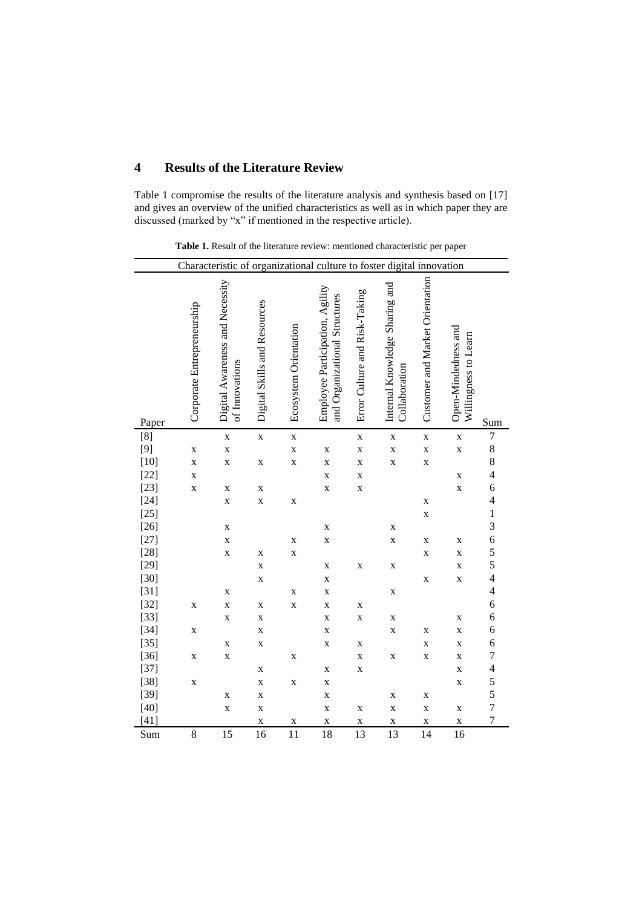# **4 Results of the Literature Review**

Table 1 compromise the results of the literature analysis and synthesis based on [17] and gives an overview of the unified characteristics as well as in which paper they are discussed (marked by "x" if mentioned in the respective article).

| Characteristic of organizational culture to foster digital innovation |                            |                                                   |                              |                       |                                                                  |                               |                                                 |                                 |                                             |                          |
|-----------------------------------------------------------------------|----------------------------|---------------------------------------------------|------------------------------|-----------------------|------------------------------------------------------------------|-------------------------------|-------------------------------------------------|---------------------------------|---------------------------------------------|--------------------------|
| Paper                                                                 | Corporate Entrepreneurship | Digital Awareness and Necessity<br>of Innovations | Digital Skills and Resources | Ecosystem Orientation | Employee Participation, Agility<br>and Organizational Structures | Error Culture and Risk-Taking | Internal Knowledge Sharing and<br>Collaboration | Customer and Market Orientation | Open-Mindedness and<br>Willingness to Learn | Sum                      |
| [8]                                                                   |                            | $\mathbf X$                                       | $\mathbf X$                  | $\mathbf X$           |                                                                  | $\mathbf X$                   | $\mathbf X$                                     | $\mathbf X$                     | $\mathbf X$                                 | $\boldsymbol{7}$         |
| $[9]$                                                                 | $\mathbf X$                | $\mathbf X$                                       |                              | $\mathbf X$           | $\mathbf X$                                                      | $\mathbf X$                   | $\mathbf X$                                     | $\mathbf X$                     | X                                           | 8                        |
| $[10]$                                                                | $\mathbf X$                | $\mathbf X$                                       | $\mathbf X$                  | $\mathbf X$           | $\mathbf X$                                                      | $\mathbf X$                   | $\mathbf X$                                     | $\mathbf X$                     |                                             | $\,8$                    |
| $[22]$                                                                | $\mathbf X$                |                                                   |                              |                       | $\mathbf X$                                                      | X                             |                                                 |                                 | X                                           | 4                        |
| $[23]$                                                                | $\mathbf X$                | $\mathbf X$                                       | X                            |                       | X                                                                | $\mathbf X$                   |                                                 |                                 | $\mathbf X$                                 | 6                        |
| $[24]$                                                                |                            | $\mathbf X$                                       | $\mathbf X$                  | $\mathbf X$           |                                                                  |                               |                                                 | $\mathbf X$                     |                                             | $\overline{\mathcal{L}}$ |
| $[25]$                                                                |                            |                                                   |                              |                       |                                                                  |                               |                                                 | $\mathbf X$                     |                                             | $\mathbf{1}$             |
| $[26]$                                                                |                            | $\mathbf X$                                       |                              |                       | $\mathbf X$                                                      |                               | X                                               |                                 |                                             | 3                        |
| $[27]$                                                                |                            | $\mathbf X$                                       |                              | $\mathbf X$           | X                                                                |                               | $\mathbf X$                                     | $\mathbf X$                     | $\mathbf X$                                 | 6                        |
| $[28]$                                                                |                            | $\mathbf X$                                       | $\mathbf X$                  | $\mathbf X$           |                                                                  |                               |                                                 | $\mathbf X$                     | $\mathbf X$                                 | 5                        |
| $[29]$                                                                |                            |                                                   | $\mathbf X$                  |                       | X                                                                | X                             | $\mathbf X$                                     |                                 | $\mathbf X$                                 | 5                        |
| $[30]$                                                                |                            |                                                   | $\mathbf X$                  |                       | X                                                                |                               |                                                 | $\mathbf X$                     | $\mathbf X$                                 | $\overline{4}$           |
| $[31]$                                                                |                            | $\mathbf X$                                       |                              | $\mathbf X$           | $\mathbf X$                                                      |                               | $\mathbf X$                                     |                                 |                                             | $\overline{\mathcal{L}}$ |
| $[32]$                                                                | $\mathbf X$                | $\mathbf X$                                       | $\mathbf X$                  | $\mathbf X$           | $\mathbf X$                                                      | X                             |                                                 |                                 |                                             | 6                        |
| $[33]$                                                                |                            | $\mathbf X$                                       | $\mathbf X$                  |                       | $\mathbf X$                                                      | $\mathbf X$                   | $\mathbf X$                                     |                                 | X                                           | 6                        |
| $[34]$                                                                | X                          |                                                   | $\mathbf X$                  |                       | X                                                                |                               | $\mathbf X$                                     | $\mathbf X$                     | $\mathbf X$                                 | 6                        |
| $[35]$                                                                |                            | $\mathbf X$                                       | $\mathbf X$                  |                       | X                                                                | $\mathbf X$                   |                                                 | X                               | $\mathbf X$                                 | 6                        |
| $[36]$                                                                | $\mathbf X$                | $\mathbf X$                                       |                              | X                     |                                                                  | $\mathbf X$                   | $\mathbf X$                                     | $\mathbf X$                     | $\mathbf X$                                 | 7                        |
| $[37]$                                                                |                            |                                                   | X                            |                       | X                                                                | $\mathbf X$                   |                                                 |                                 | $\mathbf X$                                 | $\overline{4}$           |
| $[38]$                                                                | $\mathbf X$                |                                                   | X                            | $\mathbf X$           | X                                                                |                               |                                                 |                                 | $\mathbf X$                                 | 5                        |
| $[39]$                                                                |                            | $\mathbf X$                                       | X                            |                       | X                                                                |                               | X                                               | $\mathbf X$                     |                                             | 5                        |
| $[40]$                                                                |                            | $\mathbf X$                                       | $\mathbf X$                  |                       | $\mathbf X$                                                      | $\mathbf X$                   | $\mathbf X$                                     | $\mathbf X$                     | $\mathbf X$                                 | 7                        |
| [41]                                                                  |                            |                                                   | $\mathbf X$                  | X                     | X                                                                | X                             | $\mathbf X$                                     | X                               | $\mathbf X$                                 | 7                        |
| Sum                                                                   | $\,$ 8 $\,$                | 15                                                | 16                           | 11                    | 18                                                               | 13                            | 13                                              | 14                              | 16                                          |                          |

**Table 1.** Result of the literature review: mentioned characteristic per paper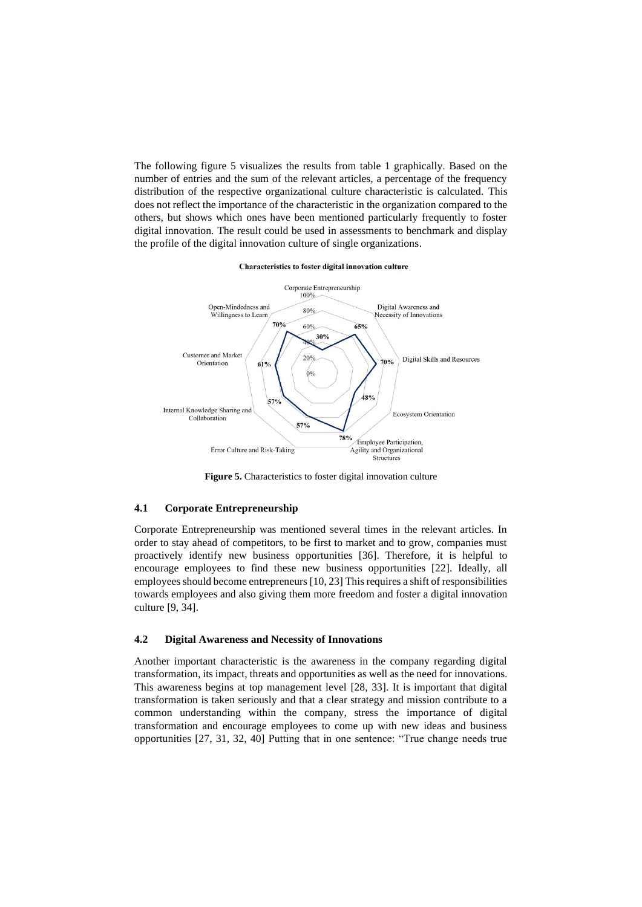The following figure 5 visualizes the results from table 1 graphically. Based on the number of entries and the sum of the relevant articles, a percentage of the frequency distribution of the respective organizational culture characteristic is calculated. This does not reflect the importance of the characteristic in the organization compared to the others, but shows which ones have been mentioned particularly frequently to foster digital innovation. The result could be used in assessments to benchmark and display the profile of the digital innovation culture of single organizations.



Characteristics to foster digital innovation culture

**Figure 5.** Characteristics to foster digital innovation culture

#### **4.1 Corporate Entrepreneurship**

Corporate Entrepreneurship was mentioned several times in the relevant articles. In order to stay ahead of competitors, to be first to market and to grow, companies must proactively identify new business opportunities [36]. Therefore, it is helpful to encourage employees to find these new business opportunities [22]. Ideally, all employees should become entrepreneurs [10, 23] This requires a shift of responsibilities towards employees and also giving them more freedom and foster a digital innovation culture [9, 34].

#### **4.2 Digital Awareness and Necessity of Innovations**

Another important characteristic is the awareness in the company regarding digital transformation, its impact, threats and opportunities as well as the need for innovations. This awareness begins at top management level [28, 33]. It is important that digital transformation is taken seriously and that a clear strategy and mission contribute to a common understanding within the company, stress the importance of digital transformation and encourage employees to come up with new ideas and business opportunities [27, 31, 32, 40] Putting that in one sentence: "True change needs true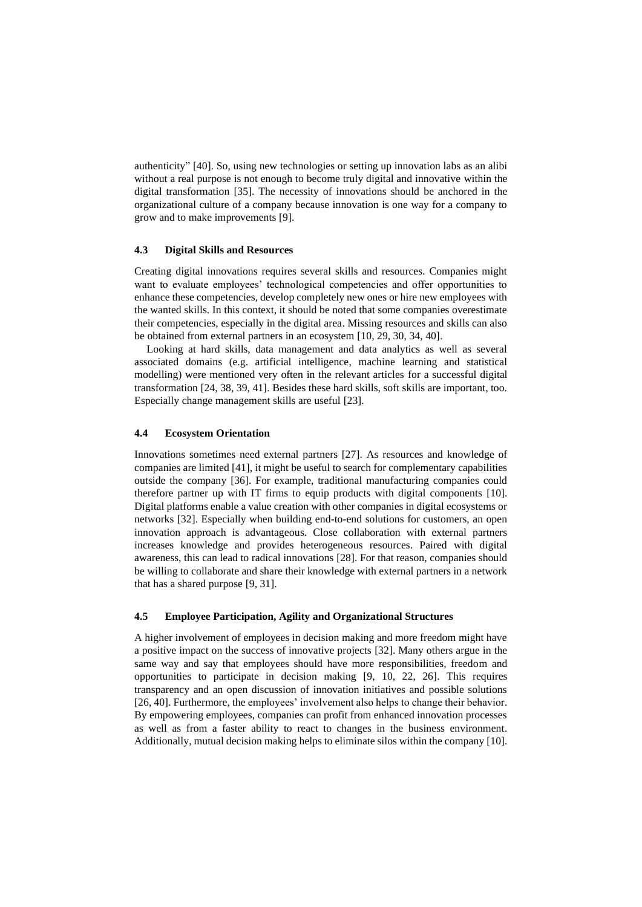authenticity" [40]. So, using new technologies or setting up innovation labs as an alibi without a real purpose is not enough to become truly digital and innovative within the digital transformation [35]. The necessity of innovations should be anchored in the organizational culture of a company because innovation is one way for a company to grow and to make improvements [9].

#### **4.3 Digital Skills and Resources**

Creating digital innovations requires several skills and resources. Companies might want to evaluate employees' technological competencies and offer opportunities to enhance these competencies, develop completely new ones or hire new employees with the wanted skills. In this context, it should be noted that some companies overestimate their competencies, especially in the digital area. Missing resources and skills can also be obtained from external partners in an ecosystem [10, 29, 30, 34, 40].

Looking at hard skills, data management and data analytics as well as several associated domains (e.g. artificial intelligence, machine learning and statistical modelling) were mentioned very often in the relevant articles for a successful digital transformation [24, 38, 39, 41]. Besides these hard skills, soft skills are important, too. Especially change management skills are useful [23].

### **4.4 Ecosystem Orientation**

Innovations sometimes need external partners [27]. As resources and knowledge of companies are limited [41], it might be useful to search for complementary capabilities outside the company [36]. For example, traditional manufacturing companies could therefore partner up with IT firms to equip products with digital components [10]. Digital platforms enable a value creation with other companies in digital ecosystems or networks [32]. Especially when building end-to-end solutions for customers, an open innovation approach is advantageous. Close collaboration with external partners increases knowledge and provides heterogeneous resources. Paired with digital awareness, this can lead to radical innovations [28]. For that reason, companies should be willing to collaborate and share their knowledge with external partners in a network that has a shared purpose [9, 31].

#### **4.5 Employee Participation, Agility and Organizational Structures**

A higher involvement of employees in decision making and more freedom might have a positive impact on the success of innovative projects [32]. Many others argue in the same way and say that employees should have more responsibilities, freedom and opportunities to participate in decision making [9, 10, 22, 26]. This requires transparency and an open discussion of innovation initiatives and possible solutions [26, 40]. Furthermore, the employees' involvement also helps to change their behavior. By empowering employees, companies can profit from enhanced innovation processes as well as from a faster ability to react to changes in the business environment. Additionally, mutual decision making helps to eliminate silos within the company [10].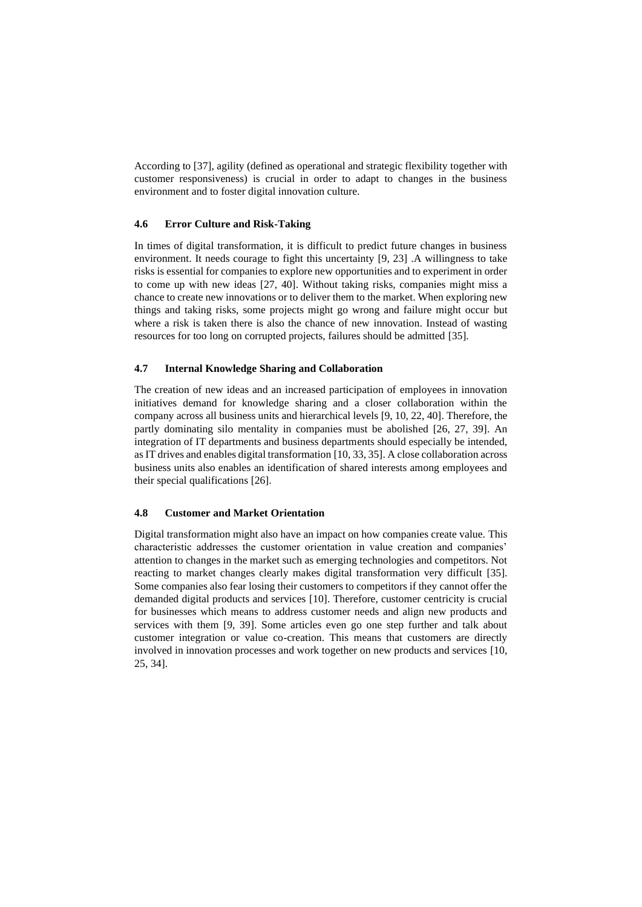According to [37], agility (defined as operational and strategic flexibility together with customer responsiveness) is crucial in order to adapt to changes in the business environment and to foster digital innovation culture.

#### **4.6 Error Culture and Risk-Taking**

In times of digital transformation, it is difficult to predict future changes in business environment. It needs courage to fight this uncertainty [9, 23] .A willingness to take risks is essential for companies to explore new opportunities and to experiment in order to come up with new ideas [27, 40]. Without taking risks, companies might miss a chance to create new innovations or to deliver them to the market. When exploring new things and taking risks, some projects might go wrong and failure might occur but where a risk is taken there is also the chance of new innovation. Instead of wasting resources for too long on corrupted projects, failures should be admitted [35].

#### **4.7 Internal Knowledge Sharing and Collaboration**

The creation of new ideas and an increased participation of employees in innovation initiatives demand for knowledge sharing and a closer collaboration within the company across all business units and hierarchical levels [9, 10, 22, 40]. Therefore, the partly dominating silo mentality in companies must be abolished [26, 27, 39]. An integration of IT departments and business departments should especially be intended, as IT drives and enables digital transformation [10, 33, 35]. A close collaboration across business units also enables an identification of shared interests among employees and their special qualifications [26].

## **4.8 Customer and Market Orientation**

Digital transformation might also have an impact on how companies create value. This characteristic addresses the customer orientation in value creation and companies' attention to changes in the market such as emerging technologies and competitors. Not reacting to market changes clearly makes digital transformation very difficult [35]. Some companies also fear losing their customers to competitors if they cannot offer the demanded digital products and services [10]. Therefore, customer centricity is crucial for businesses which means to address customer needs and align new products and services with them [9, 39]. Some articles even go one step further and talk about customer integration or value co-creation. This means that customers are directly involved in innovation processes and work together on new products and services [10, 25, 34].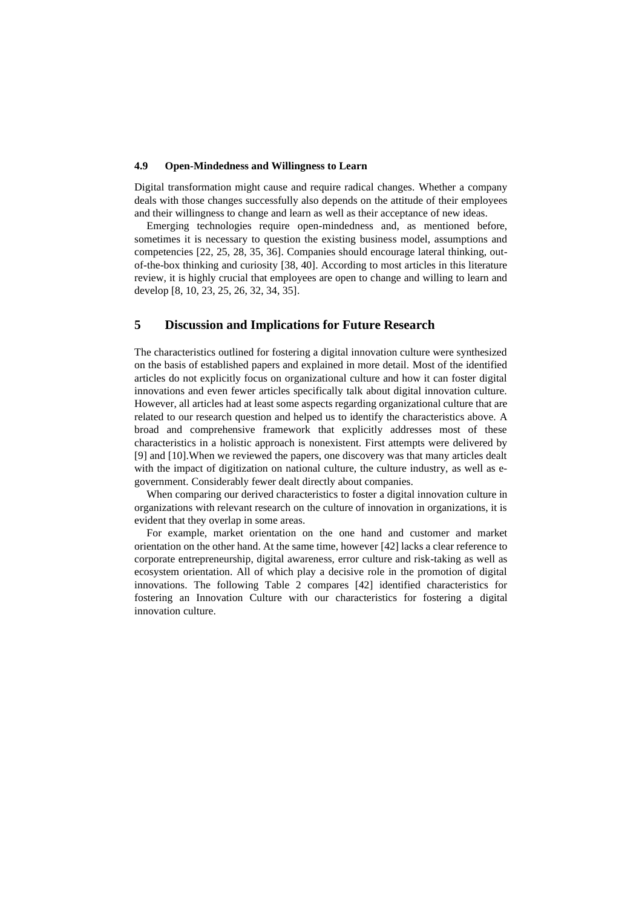#### **4.9 Open-Mindedness and Willingness to Learn**

Digital transformation might cause and require radical changes. Whether a company deals with those changes successfully also depends on the attitude of their employees and their willingness to change and learn as well as their acceptance of new ideas.

Emerging technologies require open-mindedness and, as mentioned before, sometimes it is necessary to question the existing business model, assumptions and competencies [22, 25, 28, 35, 36]. Companies should encourage lateral thinking, outof-the-box thinking and curiosity [38, 40]. According to most articles in this literature review, it is highly crucial that employees are open to change and willing to learn and develop [8, 10, 23, 25, 26, 32, 34, 35].

# **5 Discussion and Implications for Future Research**

The characteristics outlined for fostering a digital innovation culture were synthesized on the basis of established papers and explained in more detail. Most of the identified articles do not explicitly focus on organizational culture and how it can foster digital innovations and even fewer articles specifically talk about digital innovation culture. However, all articles had at least some aspects regarding organizational culture that are related to our research question and helped us to identify the characteristics above. A broad and comprehensive framework that explicitly addresses most of these characteristics in a holistic approach is nonexistent. First attempts were delivered by [9] and [10].When we reviewed the papers, one discovery was that many articles dealt with the impact of digitization on national culture, the culture industry, as well as egovernment. Considerably fewer dealt directly about companies.

When comparing our derived characteristics to foster a digital innovation culture in organizations with relevant research on the culture of innovation in organizations, it is evident that they overlap in some areas.

For example, market orientation on the one hand and customer and market orientation on the other hand. At the same time, however [42] lacks a clear reference to corporate entrepreneurship, digital awareness, error culture and risk-taking as well as ecosystem orientation. All of which play a decisive role in the promotion of digital innovations. The following Table 2 compares [42] identified characteristics for fostering an Innovation Culture with our characteristics for fostering a digital innovation culture.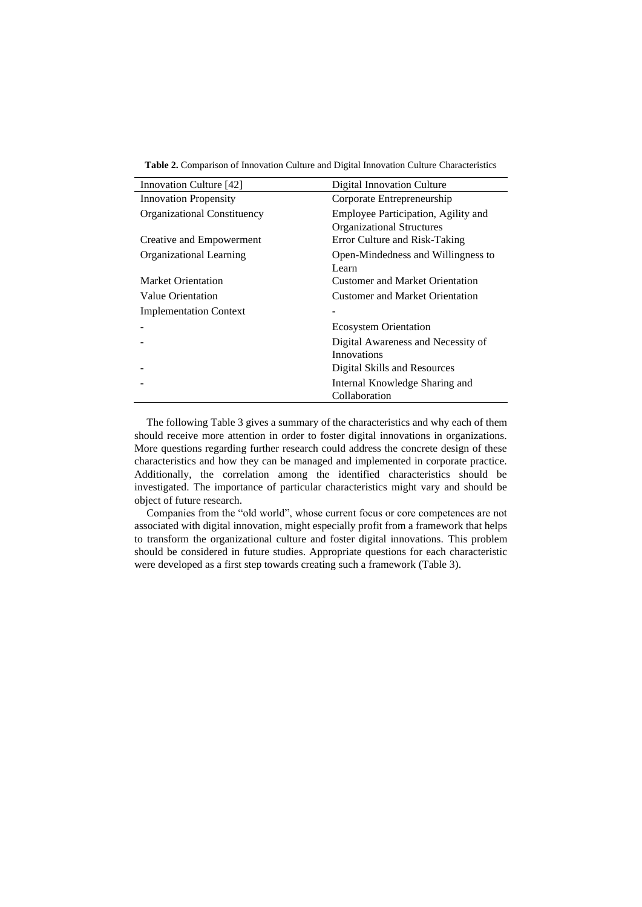**Table 2.** Comparison of Innovation Culture and Digital Innovation Culture Characteristics

| Innovation Culture [42]       | Digital Innovation Culture                                              |  |  |
|-------------------------------|-------------------------------------------------------------------------|--|--|
| <b>Innovation Propensity</b>  | Corporate Entrepreneurship                                              |  |  |
| Organizational Constituency   | Employee Participation, Agility and<br><b>Organizational Structures</b> |  |  |
| Creative and Empowerment      | Error Culture and Risk-Taking                                           |  |  |
| Organizational Learning       | Open-Mindedness and Willingness to<br>Learn                             |  |  |
| <b>Market Orientation</b>     | <b>Customer and Market Orientation</b>                                  |  |  |
| Value Orientation             | <b>Customer and Market Orientation</b>                                  |  |  |
| <b>Implementation Context</b> |                                                                         |  |  |
|                               | <b>Ecosystem Orientation</b>                                            |  |  |
|                               | Digital Awareness and Necessity of<br>Innovations                       |  |  |
|                               | Digital Skills and Resources                                            |  |  |
|                               | Internal Knowledge Sharing and<br>Collaboration                         |  |  |

The following Table 3 gives a summary of the characteristics and why each of them should receive more attention in order to foster digital innovations in organizations. More questions regarding further research could address the concrete design of these characteristics and how they can be managed and implemented in corporate practice. Additionally, the correlation among the identified characteristics should be investigated. The importance of particular characteristics might vary and should be object of future research.

Companies from the "old world", whose current focus or core competences are not associated with digital innovation, might especially profit from a framework that helps to transform the organizational culture and foster digital innovations. This problem should be considered in future studies. Appropriate questions for each characteristic were developed as a first step towards creating such a framework (Table 3).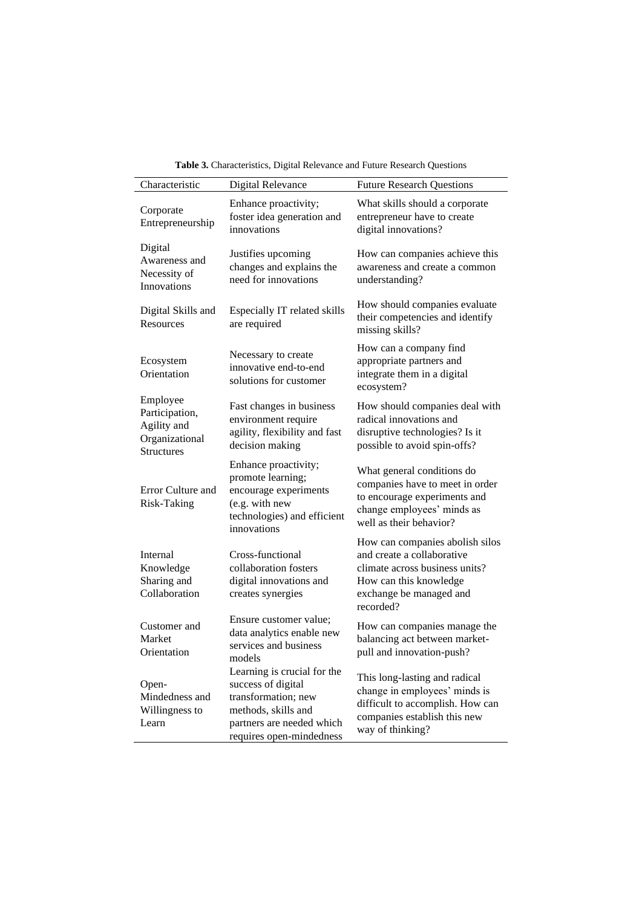| Table 3. Characteristics, Digital Relevance and Future Research Questions |  |  |  |
|---------------------------------------------------------------------------|--|--|--|
|---------------------------------------------------------------------------|--|--|--|

| Characteristic                                                                   | Digital Relevance                                                                                                                                        | <b>Future Research Questions</b>                                                                                                                                  |  |  |
|----------------------------------------------------------------------------------|----------------------------------------------------------------------------------------------------------------------------------------------------------|-------------------------------------------------------------------------------------------------------------------------------------------------------------------|--|--|
| Corporate<br>Entrepreneurship                                                    | Enhance proactivity;<br>foster idea generation and<br>innovations                                                                                        | What skills should a corporate<br>entrepreneur have to create<br>digital innovations?                                                                             |  |  |
| Digital<br>Awareness and<br>Necessity of<br><b>Innovations</b>                   | Justifies upcoming<br>changes and explains the<br>need for innovations                                                                                   | How can companies achieve this<br>awareness and create a common<br>understanding?                                                                                 |  |  |
| Digital Skills and<br>Resources                                                  | Especially IT related skills<br>are required                                                                                                             | How should companies evaluate<br>their competencies and identify<br>missing skills?                                                                               |  |  |
| Ecosystem<br>Orientation                                                         | Necessary to create<br>innovative end-to-end<br>solutions for customer                                                                                   | How can a company find<br>appropriate partners and<br>integrate them in a digital<br>ecosystem?                                                                   |  |  |
| Employee<br>Participation,<br>Agility and<br>Organizational<br><b>Structures</b> | Fast changes in business<br>environment require<br>agility, flexibility and fast<br>decision making                                                      | How should companies deal with<br>radical innovations and<br>disruptive technologies? Is it<br>possible to avoid spin-offs?                                       |  |  |
| Error Culture and<br>Risk-Taking                                                 | Enhance proactivity;<br>promote learning;<br>encourage experiments<br>(e.g. with new<br>technologies) and efficient<br>innovations                       | What general conditions do<br>companies have to meet in order<br>to encourage experiments and<br>change employees' minds as<br>well as their behavior?            |  |  |
| Internal<br>Knowledge<br>Sharing and<br>Collaboration                            | Cross-functional<br>collaboration fosters<br>digital innovations and<br>creates synergies                                                                | How can companies abolish silos<br>and create a collaborative<br>climate across business units?<br>How can this knowledge<br>exchange be managed and<br>recorded? |  |  |
| Customer and<br>Market<br>Orientation                                            | Ensure customer value;<br>data analytics enable new<br>services and business<br>models                                                                   | How can companies manage the<br>balancing act between market-<br>pull and innovation-push?                                                                        |  |  |
| Open-<br>Mindedness and<br>Willingness to<br>Learn                               | Learning is crucial for the<br>success of digital<br>transformation; new<br>methods, skills and<br>partners are needed which<br>requires open-mindedness | This long-lasting and radical<br>change in employees' minds is<br>difficult to accomplish. How can<br>companies establish this new<br>way of thinking?            |  |  |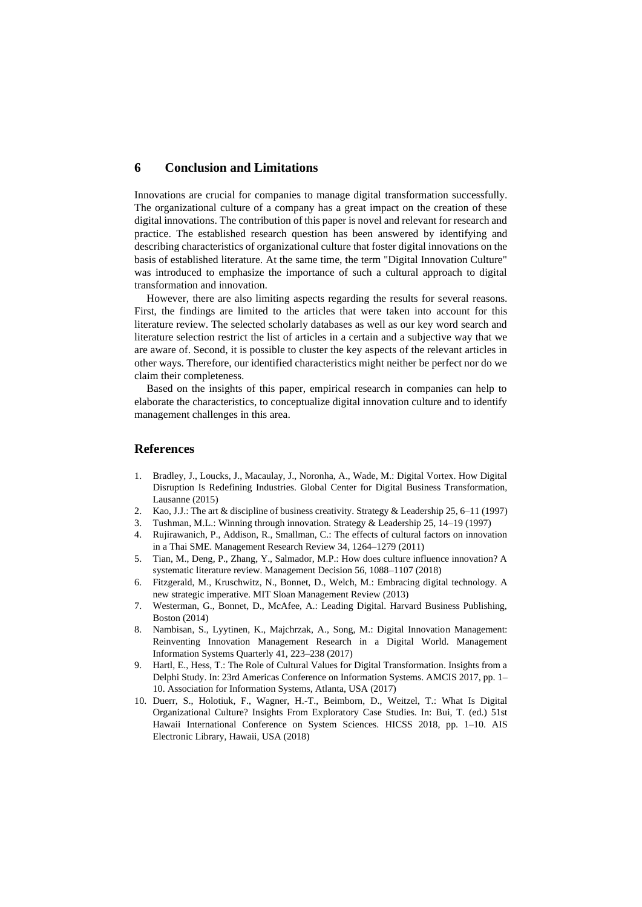# **6 Conclusion and Limitations**

Innovations are crucial for companies to manage digital transformation successfully. The organizational culture of a company has a great impact on the creation of these digital innovations. The contribution of this paper is novel and relevant for research and practice. The established research question has been answered by identifying and describing characteristics of organizational culture that foster digital innovations on the basis of established literature. At the same time, the term "Digital Innovation Culture" was introduced to emphasize the importance of such a cultural approach to digital transformation and innovation.

However, there are also limiting aspects regarding the results for several reasons. First, the findings are limited to the articles that were taken into account for this literature review. The selected scholarly databases as well as our key word search and literature selection restrict the list of articles in a certain and a subjective way that we are aware of. Second, it is possible to cluster the key aspects of the relevant articles in other ways. Therefore, our identified characteristics might neither be perfect nor do we claim their completeness.

Based on the insights of this paper, empirical research in companies can help to elaborate the characteristics, to conceptualize digital innovation culture and to identify management challenges in this area.

## **References**

- 1. Bradley, J., Loucks, J., Macaulay, J., Noronha, A., Wade, M.: Digital Vortex. How Digital Disruption Is Redefining Industries. Global Center for Digital Business Transformation, Lausanne (2015)
- 2. Kao, J.J.: The art & discipline of business creativity. Strategy & Leadership 25, 6–11 (1997)
- 3. Tushman, M.L.: Winning through innovation. Strategy & Leadership 25, 14–19 (1997)
- 4. Rujirawanich, P., Addison, R., Smallman, C.: The effects of cultural factors on innovation in a Thai SME. Management Research Review 34, 1264–1279 (2011)
- 5. Tian, M., Deng, P., Zhang, Y., Salmador, M.P.: How does culture influence innovation? A systematic literature review. Management Decision 56, 1088–1107 (2018)
- 6. Fitzgerald, M., Kruschwitz, N., Bonnet, D., Welch, M.: Embracing digital technology. A new strategic imperative. MIT Sloan Management Review (2013)
- 7. Westerman, G., Bonnet, D., McAfee, A.: Leading Digital. Harvard Business Publishing, Boston (2014)
- 8. Nambisan, S., Lyytinen, K., Majchrzak, A., Song, M.: Digital Innovation Management: Reinventing Innovation Management Research in a Digital World. Management Information Systems Quarterly 41, 223–238 (2017)
- 9. Hartl, E., Hess, T.: The Role of Cultural Values for Digital Transformation. Insights from a Delphi Study. In: 23rd Americas Conference on Information Systems. AMCIS 2017, pp. 1– 10. Association for Information Systems, Atlanta, USA (2017)
- 10. Duerr, S., Holotiuk, F., Wagner, H.-T., Beimborn, D., Weitzel, T.: What Is Digital Organizational Culture? Insights From Exploratory Case Studies. In: Bui, T. (ed.) 51st Hawaii International Conference on System Sciences. HICSS 2018, pp. 1–10. AIS Electronic Library, Hawaii, USA (2018)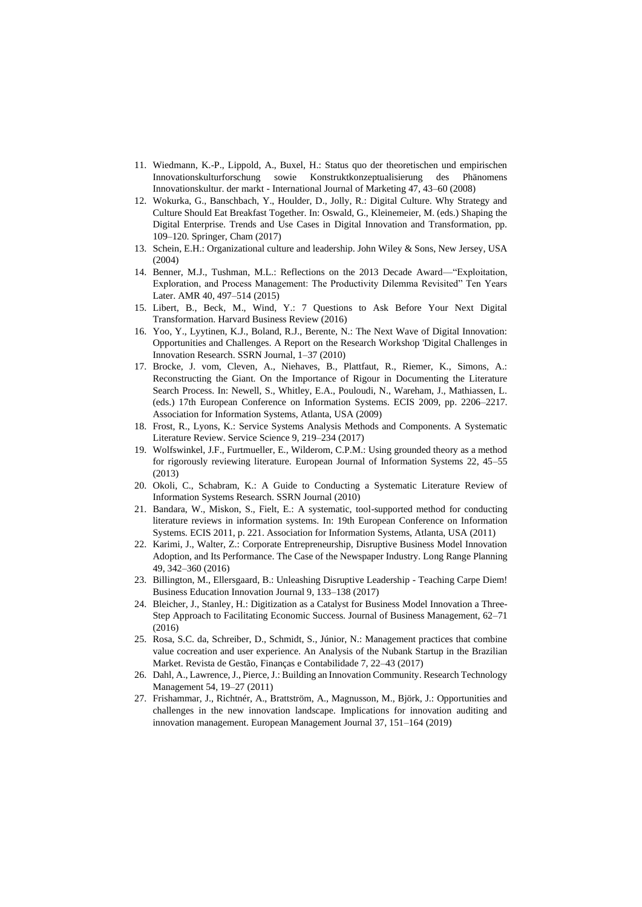- 11. Wiedmann, K.-P., Lippold, A., Buxel, H.: Status quo der theoretischen und empirischen Innovationskulturforschung sowie Konstruktkonzeptualisierung des Phänomens Innovationskultur. der markt - International Journal of Marketing 47, 43–60 (2008)
- 12. Wokurka, G., Banschbach, Y., Houlder, D., Jolly, R.: Digital Culture. Why Strategy and Culture Should Eat Breakfast Together. In: Oswald, G., Kleinemeier, M. (eds.) Shaping the Digital Enterprise. Trends and Use Cases in Digital Innovation and Transformation, pp. 109–120. Springer, Cham (2017)
- 13. Schein, E.H.: Organizational culture and leadership. John Wiley & Sons, New Jersey, USA (2004)
- 14. Benner, M.J., Tushman, M.L.: Reflections on the 2013 Decade Award—"Exploitation, Exploration, and Process Management: The Productivity Dilemma Revisited" Ten Years Later. AMR 40, 497–514 (2015)
- 15. Libert, B., Beck, M., Wind, Y.: 7 Questions to Ask Before Your Next Digital Transformation. Harvard Business Review (2016)
- 16. Yoo, Y., Lyytinen, K.J., Boland, R.J., Berente, N.: The Next Wave of Digital Innovation: Opportunities and Challenges. A Report on the Research Workshop 'Digital Challenges in Innovation Research. SSRN Journal, 1–37 (2010)
- 17. Brocke, J. vom, Cleven, A., Niehaves, B., Plattfaut, R., Riemer, K., Simons, A.: Reconstructing the Giant. On the Importance of Rigour in Documenting the Literature Search Process. In: Newell, S., Whitley, E.A., Pouloudi, N., Wareham, J., Mathiassen, L. (eds.) 17th European Conference on Information Systems. ECIS 2009, pp. 2206–2217. Association for Information Systems, Atlanta, USA (2009)
- 18. Frost, R., Lyons, K.: Service Systems Analysis Methods and Components. A Systematic Literature Review. Service Science 9, 219–234 (2017)
- 19. Wolfswinkel, J.F., Furtmueller, E., Wilderom, C.P.M.: Using grounded theory as a method for rigorously reviewing literature. European Journal of Information Systems 22, 45–55 (2013)
- 20. Okoli, C., Schabram, K.: A Guide to Conducting a Systematic Literature Review of Information Systems Research. SSRN Journal (2010)
- 21. Bandara, W., Miskon, S., Fielt, E.: A systematic, tool-supported method for conducting literature reviews in information systems. In: 19th European Conference on Information Systems. ECIS 2011, p. 221. Association for Information Systems, Atlanta, USA (2011)
- 22. Karimi, J., Walter, Z.: Corporate Entrepreneurship, Disruptive Business Model Innovation Adoption, and Its Performance. The Case of the Newspaper Industry. Long Range Planning 49, 342–360 (2016)
- 23. Billington, M., Ellersgaard, B.: Unleashing Disruptive Leadership Teaching Carpe Diem! Business Education Innovation Journal 9, 133–138 (2017)
- 24. Bleicher, J., Stanley, H.: Digitization as a Catalyst for Business Model Innovation a Three-Step Approach to Facilitating Economic Success. Journal of Business Management, 62–71 (2016)
- 25. Rosa, S.C. da, Schreiber, D., Schmidt, S., Júnior, N.: Management practices that combine value cocreation and user experience. An Analysis of the Nubank Startup in the Brazilian Market. Revista de Gestão, Finanças e Contabilidade 7, 22–43 (2017)
- 26. Dahl, A., Lawrence, J., Pierce, J.: Building an Innovation Community. Research Technology Management 54, 19–27 (2011)
- 27. Frishammar, J., Richtnér, A., Brattström, A., Magnusson, M., Björk, J.: Opportunities and challenges in the new innovation landscape. Implications for innovation auditing and innovation management. European Management Journal 37, 151–164 (2019)